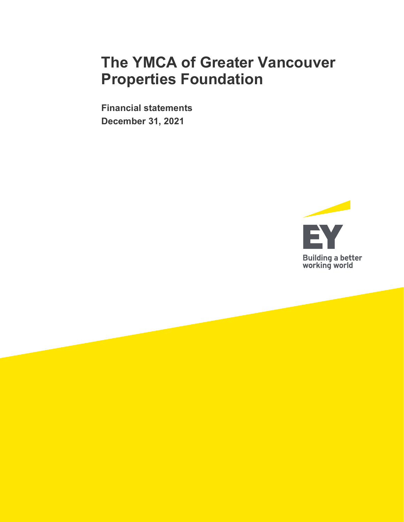**Financial statements December 31, 2021** 

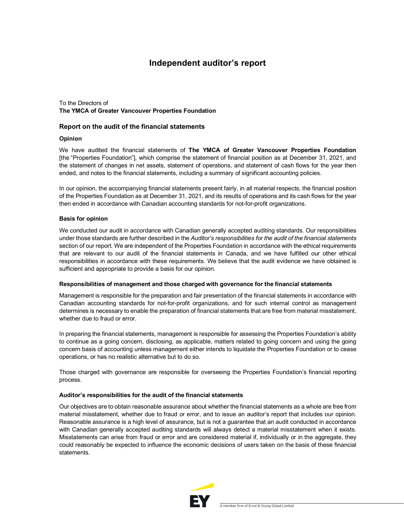## **Independent auditor's report**

#### To the Directors of **The YMCA of Greater Vancouver Properties Foundation**

#### **Report on the audit of the financial statements**

#### **Opinion**

We have audited the financial statements of **The YMCA of Greater Vancouver Properties Foundation** [the "Properties Foundation"], which comprise the statement of financial position as at December 31, 2021, and the statement of changes in net assets, statement of operations, and statement of cash flows for the year then ended, and notes to the financial statements, including a summary of significant accounting policies.

In our opinion, the accompanying financial statements present fairly, in all material respects, the financial position of the Properties Foundation as at December 31, 2021, and its results of operations and its cash flows for the year then ended in accordance with Canadian accounting standards for not-for-profit organizations.

#### **Basis for opinion**

We conducted our audit in accordance with Canadian generally accepted auditing standards. Our responsibilities under those standards are further described in the *Auditor's responsibilities for the audit of the financial statements*  section of our report. We are independent of the Properties Foundation in accordance with the ethical requirements that are relevant to our audit of the financial statements in Canada, and we have fulfilled our other ethical responsibilities in accordance with these requirements. We believe that the audit evidence we have obtained is sufficient and appropriate to provide a basis for our opinion.

#### **Responsibilities of management and those charged with governance for the financial statements**

Management is responsible for the preparation and fair presentation of the financial statements in accordance with Canadian accounting standards for not-for-profit organizations, and for such internal control as management determines is necessary to enable the preparation of financial statements that are free from material misstatement, whether due to fraud or error.

In preparing the financial statements, management is responsible for assessing the Properties Foundation's ability to continue as a going concern, disclosing, as applicable, matters related to going concern and using the going concern basis of accounting unless management either intends to liquidate the Properties Foundation or to cease operations, or has no realistic alternative but to do so.

Those charged with governance are responsible for overseeing the Properties Foundation's financial reporting process.

#### **Auditor's responsibilities for the audit of the financial statements**

Our objectives are to obtain reasonable assurance about whether the financial statements as a whole are free from material misstatement, whether due to fraud or error, and to issue an auditor's report that includes our opinion. Reasonable assurance is a high level of assurance, but is not a guarantee that an audit conducted in accordance with Canadian generally accepted auditing standards will always detect a material misstatement when it exists. Misstatements can arise from fraud or error and are considered material if, individually or in the aggregate, they could reasonably be expected to influence the economic decisions of users taken on the basis of these financial statements.

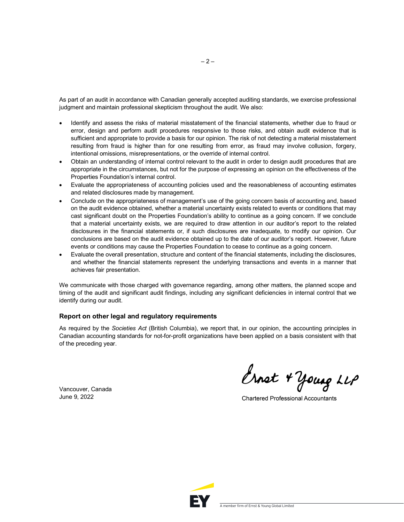As part of an audit in accordance with Canadian generally accepted auditing standards, we exercise professional judgment and maintain professional skepticism throughout the audit. We also:

- Identify and assess the risks of material misstatement of the financial statements, whether due to fraud or error, design and perform audit procedures responsive to those risks, and obtain audit evidence that is sufficient and appropriate to provide a basis for our opinion. The risk of not detecting a material misstatement resulting from fraud is higher than for one resulting from error, as fraud may involve collusion, forgery, intentional omissions, misrepresentations, or the override of internal control.
- Obtain an understanding of internal control relevant to the audit in order to design audit procedures that are appropriate in the circumstances, but not for the purpose of expressing an opinion on the effectiveness of the Properties Foundation's internal control.
- Evaluate the appropriateness of accounting policies used and the reasonableness of accounting estimates and related disclosures made by management.
- Conclude on the appropriateness of management's use of the going concern basis of accounting and, based on the audit evidence obtained, whether a material uncertainty exists related to events or conditions that may cast significant doubt on the Properties Foundation's ability to continue as a going concern. If we conclude that a material uncertainty exists, we are required to draw attention in our auditor's report to the related disclosures in the financial statements or, if such disclosures are inadequate, to modify our opinion. Our conclusions are based on the audit evidence obtained up to the date of our auditor's report. However, future events or conditions may cause the Properties Foundation to cease to continue as a going concern.
- Evaluate the overall presentation, structure and content of the financial statements, including the disclosures, and whether the financial statements represent the underlying transactions and events in a manner that achieves fair presentation.

We communicate with those charged with governance regarding, among other matters, the planned scope and timing of the audit and significant audit findings, including any significant deficiencies in internal control that we identify during our audit.

#### **Report on other legal and regulatory requirements**

As required by the *Societies Act* (British Columbia), we report that, in our opinion, the accounting principles in Canadian accounting standards for not-for-profit organizations have been applied on a basis consistent with that of the preceding year.

Vancouver, Canada June 9, 2022

Ernst + Young LLP

**Chartered Professional Accountants** 

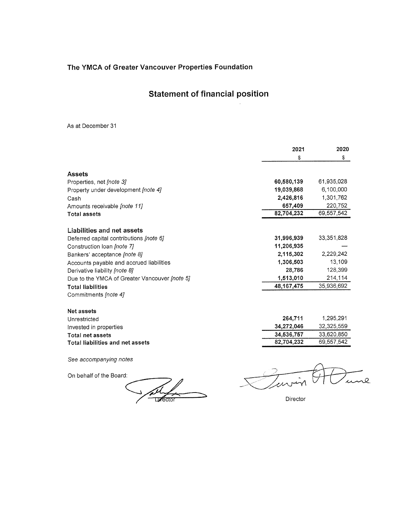## Statement of financial position

As at December 31

|                                               | 2021         | 2020       |
|-----------------------------------------------|--------------|------------|
|                                               | \$           | \$         |
| <b>Assets</b>                                 |              |            |
| Properties, net [note 3]                      | 60,580,139   | 61,935,028 |
| Property under development [note 4]           | 19,039,868   | 6,100,000  |
| Cash                                          | 2,426,816    | 1,301,762  |
| Amounts receivable [note 11]                  | 657,409      | 220,752    |
| <b>Total assets</b>                           | 82,704,232   | 69,557,542 |
| Liabilities and net assets                    |              |            |
| Deferred capital contributions [note 6]       | 31,996,939   | 33,351,828 |
| Construction loan [note 7]                    | 11,206,935   |            |
| Bankers' acceptance [note 8]                  | 2,115,302    | 2,229,242  |
| Accounts payable and accrued liabilities      | 1,306,503    | 13,109     |
| Derivative liability <i>[note 8]</i>          | 28,786       | 128,399    |
| Due to the YMCA of Greater Vancouver [note 5] | 1,513,010    | 214 114    |
| <b>Total liabilities</b>                      | 48, 167, 475 | 35,936,692 |
| Commitments [note 4]                          |              |            |
| <b>Net assets</b>                             |              |            |
| Unrestricted                                  | 264,711      | 1,295,291  |
| Invested in properties                        | 34,272,046   | 32,325,559 |
| <b>Total net assets</b>                       | 34,536,757   | 33,620,850 |
| Total liabilities and net assets              | 82,704,232   | 69,557,542 |

See accompanying notes

On behalf of the Board:

 $\angle$  -**Livector** 

mar<br>une  $\omega$  $\mathcal{N}_{\mathcal{A}}$ 

Director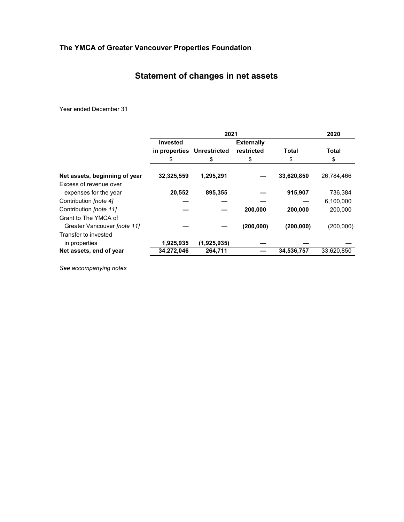## **Statement of changes in net assets**

Year ended December 31

|                                    | 2021            |                            |                   |            | 2020       |  |
|------------------------------------|-----------------|----------------------------|-------------------|------------|------------|--|
|                                    | <b>Invested</b> |                            | <b>Externally</b> |            |            |  |
|                                    |                 | in properties Unrestricted | restricted        | Total      | Total      |  |
|                                    | S               | S                          | \$                | \$         | \$         |  |
| Net assets, beginning of year      | 32,325,559      | 1,295,291                  |                   | 33,620,850 | 26.784.466 |  |
| Excess of revenue over             |                 |                            |                   |            |            |  |
| expenses for the year              | 20,552          | 895,355                    |                   | 915,907    | 736,384    |  |
| Contribution [note 4]              |                 |                            |                   |            | 6,100,000  |  |
| Contribution [note 11]             |                 |                            | 200,000           | 200,000    | 200.000    |  |
| Grant to The YMCA of               |                 |                            |                   |            |            |  |
| Greater Vancouver <i>[note 11]</i> |                 |                            | (200, 000)        | (200, 000) | (200,000)  |  |
| Transfer to invested               |                 |                            |                   |            |            |  |
| in properties                      | 1,925,935       | (1,925,935)                |                   |            |            |  |
| Net assets, end of year            | 34,272,046      | 264,711                    |                   | 34,536,757 | 33,620,850 |  |

*See accompanying notes*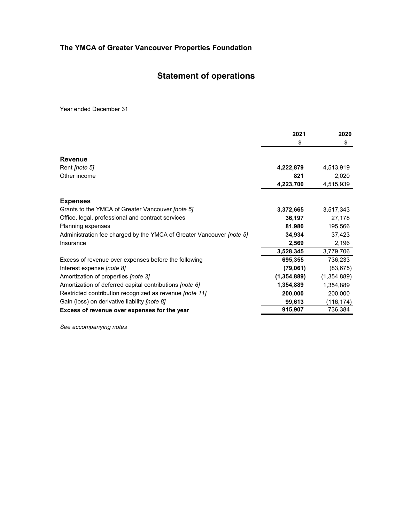## **Statement of operations**

Year ended December 31

|                                                                      | 2021          | 2020          |
|----------------------------------------------------------------------|---------------|---------------|
|                                                                      | \$            | \$            |
| <b>Revenue</b>                                                       |               |               |
| Rent <i>(note 5)</i>                                                 | 4,222,879     | 4,513,919     |
| Other income                                                         | 821           | 2,020         |
|                                                                      | 4,223,700     | 4,515,939     |
| <b>Expenses</b>                                                      |               |               |
| Grants to the YMCA of Greater Vancouver [note 5]                     | 3,372,665     | 3,517,343     |
| Office, legal, professional and contract services                    | 36,197        | 27,178        |
| <b>Planning expenses</b>                                             | 81,980        | 195,566       |
| Administration fee charged by the YMCA of Greater Vancouver [note 5] | 34,934        | 37,423        |
| Insurance                                                            | 2,569         | 2,196         |
|                                                                      | 3,528,345     | 3,779,706     |
| Excess of revenue over expenses before the following                 | 695,355       | 736,233       |
| Interest expense [note 8]                                            | (79,061)      | (83, 675)     |
| Amortization of properties <i>[note 3]</i>                           | (1, 354, 889) | (1, 354, 889) |
| Amortization of deferred capital contributions <i>[note 6]</i>       | 1,354,889     | 1,354,889     |
| Restricted contribution recognized as revenue <i>[note 11]</i>       | 200,000       | 200,000       |
| Gain (loss) on derivative liability <i>[note 8]</i>                  | 99,613        | (116, 174)    |
| Excess of revenue over expenses for the year                         | 915,907       | 736,384       |

*See accompanying notes*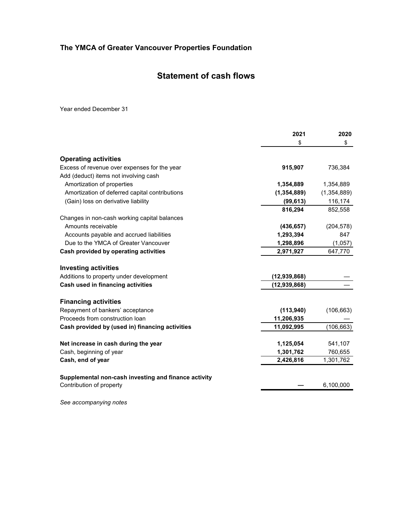## **Statement of cash flows**

Year ended December 31

|                                                      | 2021           | 2020        |
|------------------------------------------------------|----------------|-------------|
|                                                      | \$             | \$          |
| <b>Operating activities</b>                          |                |             |
| Excess of revenue over expenses for the year         | 915,907        | 736,384     |
| Add (deduct) items not involving cash                |                |             |
| Amortization of properties                           | 1,354,889      | 1,354,889   |
| Amortization of deferred capital contributions       | (1, 354, 889)  | (1,354,889) |
| (Gain) loss on derivative liability                  | (99, 613)      | 116,174     |
|                                                      | 816,294        | 852,558     |
| Changes in non-cash working capital balances         |                |             |
| Amounts receivable                                   | (436, 657)     | (204, 578)  |
| Accounts payable and accrued liabilities             | 1,293,394      | 847         |
| Due to the YMCA of Greater Vancouver                 | 1,298,896      | (1,057)     |
| Cash provided by operating activities                | 2,971,927      | 647,770     |
| <b>Investing activities</b>                          |                |             |
| Additions to property under development              | (12, 939, 868) |             |
| Cash used in financing activities                    | (12, 939, 868) |             |
|                                                      |                |             |
| <b>Financing activities</b>                          |                |             |
| Repayment of bankers' acceptance                     | (113, 940)     | (106, 663)  |
| Proceeds from construction loan                      | 11,206,935     |             |
| Cash provided by (used in) financing activities      | 11,092,995     | (106, 663)  |
|                                                      |                |             |
| Net increase in cash during the year                 | 1,125,054      | 541,107     |
| Cash, beginning of year                              | 1,301,762      | 760,655     |
| Cash, end of year                                    | 2,426,816      | 1,301,762   |
|                                                      |                |             |
| Supplemental non-cash investing and finance activity |                |             |
| Contribution of property                             |                | 6,100,000   |

*See accompanying notes*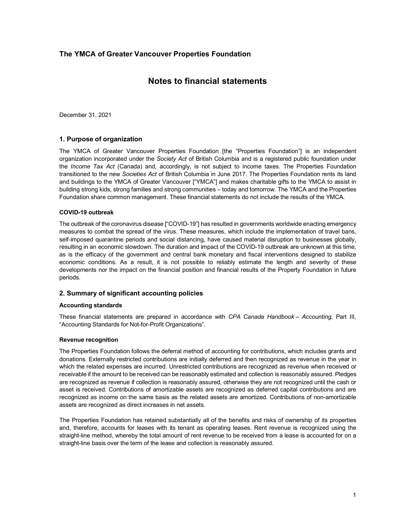## **Notes to financial statements**

December 31, 2021

#### **1. Purpose of organization**

The YMCA of Greater Vancouver Properties Foundation [the "Properties Foundation"] is an independent organization incorporated under the *Society Act* of British Columbia and is a registered public foundation under the *Income Tax Act* (Canada) and, accordingly, is not subject to income taxes. The Properties Foundation transitioned to the new *Societies Act* of British Columbia in June 2017. The Properties Foundation rents its land and buildings to the YMCA of Greater Vancouver ["YMCA"] and makes charitable gifts to the YMCA to assist in building strong kids, strong families and strong communities – today and tomorrow. The YMCA and the Properties Foundation share common management. These financial statements do not include the results of the YMCA.

#### **COVID-19 outbreak**

The outbreak of the coronavirus disease ["COVID-19"] has resulted in governments worldwide enacting emergency measures to combat the spread of the virus. These measures, which include the implementation of travel bans, self-imposed quarantine periods and social distancing, have caused material disruption to businesses globally, resulting in an economic slowdown. The duration and impact of the COVID-19 outbreak are unknown at this time, as is the efficacy of the government and central bank monetary and fiscal interventions designed to stabilize economic conditions. As a result, it is not possible to reliably estimate the length and severity of these developments nor the impact on the financial position and financial results of the Property Foundation in future periods.

#### **2. Summary of significant accounting policies**

#### **Accounting standards**

These financial statements are prepared in accordance with *CPA Canada Handbook – Accounting*, Part III, "Accounting Standards for Not-for-Profit Organizations".

#### **Revenue recognition**

The Properties Foundation follows the deferral method of accounting for contributions, which includes grants and donations. Externally restricted contributions are initially deferred and then recognized as revenue in the year in which the related expenses are incurred. Unrestricted contributions are recognized as revenue when received or receivable if the amount to be received can be reasonably estimated and collection is reasonably assured. Pledges are recognized as revenue if collection is reasonably assured, otherwise they are not recognized until the cash or asset is received. Contributions of amortizable assets are recognized as deferred capital contributions and are recognized as income on the same basis as the related assets are amortized. Contributions of non-amortizable assets are recognized as direct increases in net assets.

The Properties Foundation has retained substantially all of the benefits and risks of ownership of its properties and, therefore, accounts for leases with its tenant as operating leases. Rent revenue is recognized using the straight-line method, whereby the total amount of rent revenue to be received from a lease is accounted for on a straight-line basis over the term of the lease and collection is reasonably assured.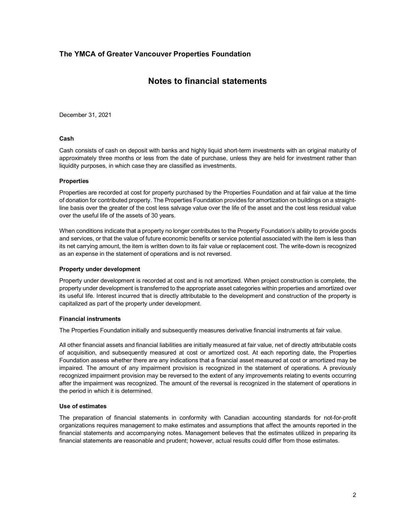## **Notes to financial statements**

December 31, 2021

#### **Cash**

Cash consists of cash on deposit with banks and highly liquid short-term investments with an original maturity of approximately three months or less from the date of purchase, unless they are held for investment rather than liquidity purposes, in which case they are classified as investments.

#### **Properties**

Properties are recorded at cost for property purchased by the Properties Foundation and at fair value at the time of donation for contributed property. The Properties Foundation provides for amortization on buildings on a straightline basis over the greater of the cost less salvage value over the life of the asset and the cost less residual value over the useful life of the assets of 30 years.

When conditions indicate that a property no longer contributes to the Property Foundation's ability to provide goods and services, or that the value of future economic benefits or service potential associated with the item is less than its net carrying amount, the item is written down to its fair value or replacement cost. The write-down is recognized as an expense in the statement of operations and is not reversed.

#### **Property under development**

Property under development is recorded at cost and is not amortized. When project construction is complete, the property under development is transferred to the appropriate asset categories within properties and amortized over its useful life. Interest incurred that is directly attributable to the development and construction of the property is capitalized as part of the property under development.

#### **Financial instruments**

The Properties Foundation initially and subsequently measures derivative financial instruments at fair value.

All other financial assets and financial liabilities are initially measured at fair value, net of directly attributable costs of acquisition, and subsequently measured at cost or amortized cost. At each reporting date, the Properties Foundation assess whether there are any indications that a financial asset measured at cost or amortized may be impaired. The amount of any impairment provision is recognized in the statement of operations. A previously recognized impairment provision may be reversed to the extent of any improvements relating to events occurring after the impairment was recognized. The amount of the reversal is recognized in the statement of operations in the period in which it is determined.

#### **Use of estimates**

The preparation of financial statements in conformity with Canadian accounting standards for not-for-profit organizations requires management to make estimates and assumptions that affect the amounts reported in the financial statements and accompanying notes. Management believes that the estimates utilized in preparing its financial statements are reasonable and prudent; however, actual results could differ from those estimates.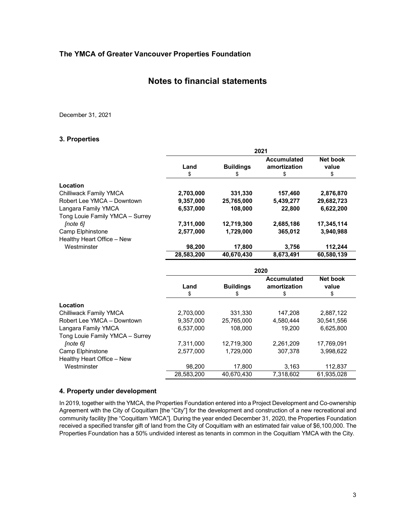## **Notes to financial statements**

December 31, 2021

#### **3. Properties**

|                                 | 2021       |                        |                                          |                         |
|---------------------------------|------------|------------------------|------------------------------------------|-------------------------|
|                                 | Land<br>\$ | <b>Buildings</b><br>\$ | <b>Accumulated</b><br>amortization<br>\$ | Net book<br>value<br>\$ |
| Location                        |            |                        |                                          |                         |
| Chilliwack Family YMCA          | 2,703,000  | 331,330                | 157,460                                  | 2,876,870               |
| Robert Lee YMCA - Downtown      | 9,357,000  | 25,765,000             | 5.439.277                                | 29,682,723              |
| Langara Family YMCA             | 6,537,000  | 108,000                | 22.800                                   | 6,622,200               |
| Tong Louie Family YMCA - Surrey |            |                        |                                          |                         |
| Inote 61                        | 7,311,000  | 12,719,300             | 2,685,186                                | 17.345.114              |
| Camp Elphinstone                | 2,577,000  | 1,729,000              | 365.012                                  | 3.940.988               |
| Healthy Heart Office - New      |            |                        |                                          |                         |
| Westminster                     | 98.200     | 17,800                 | 3,756                                    | 112,244                 |
|                                 | 28,583,200 | 40.670.430             | 8.673.491                                | 60.580.139              |

|                                 | 2020       |                        |                                          |                         |
|---------------------------------|------------|------------------------|------------------------------------------|-------------------------|
|                                 | Land<br>\$ | <b>Buildings</b><br>\$ | <b>Accumulated</b><br>amortization<br>\$ | Net book<br>value<br>\$ |
| Location                        |            |                        |                                          |                         |
| Chilliwack Family YMCA          | 2,703,000  | 331,330                | 147,208                                  | 2,887,122               |
| Robert Lee YMCA - Downtown      | 9,357,000  | 25.765.000             | 4,580,444                                | 30,541,556              |
| Langara Family YMCA             | 6,537,000  | 108,000                | 19.200                                   | 6,625,800               |
| Tong Louie Family YMCA - Surrey |            |                        |                                          |                         |
| Inote 61                        | 7,311,000  | 12.719.300             | 2,261,209                                | 17,769,091              |
| Camp Elphinstone                | 2,577,000  | 1.729.000              | 307.378                                  | 3,998,622               |
| Healthy Heart Office - New      |            |                        |                                          |                         |
| Westminster                     | 98,200     | 17,800                 | 3,163                                    | 112,837                 |
|                                 | 28.583.200 | 40.670.430             | 7.318.602                                | 61.935.028              |

#### **4. Property under development**

In 2019, together with the YMCA, the Properties Foundation entered into a Project Development and Co-ownership Agreement with the City of Coquitlam [the "City"] for the development and construction of a new recreational and community facility [the "Coquitlam YMCA"]. During the year ended December 31, 2020, the Properties Foundation received a specified transfer gift of land from the City of Coquitlam with an estimated fair value of \$6,100,000. The Properties Foundation has a 50% undivided interest as tenants in common in the Coquitlam YMCA with the City.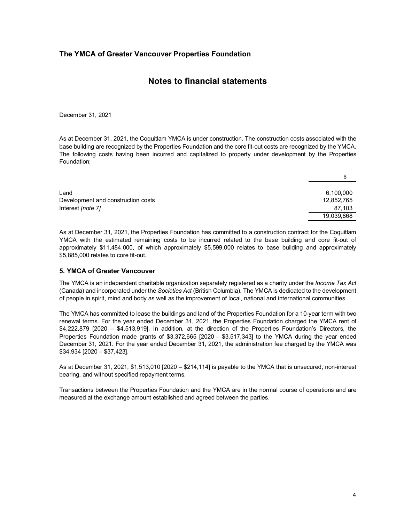## **Notes to financial statements**

December 31, 2021

As at December 31, 2021, the Coquitlam YMCA is under construction. The construction costs associated with the base building are recognized by the Properties Foundation and the core fit-out costs are recognized by the YMCA. The following costs having been incurred and capitalized to property under development by the Properties Foundation:

| Land                               | 6,100,000  |
|------------------------------------|------------|
| Development and construction costs | 12,852,765 |
| Interest <i>Inote</i> 71           | 87,103     |
|                                    | 19,039,868 |

As at December 31, 2021, the Properties Foundation has committed to a construction contract for the Coquitlam YMCA with the estimated remaining costs to be incurred related to the base building and core fit-out of approximately \$11,484,000, of which approximately \$5,599,000 relates to base building and approximately \$5,885,000 relates to core fit-out.

#### **5. YMCA of Greater Vancouver**

The YMCA is an independent charitable organization separately registered as a charity under the *Income Tax Act* (Canada) and incorporated under the *Societies Act* (British Columbia). The YMCA is dedicated to the development of people in spirit, mind and body as well as the improvement of local, national and international communities.

The YMCA has committed to lease the buildings and land of the Properties Foundation for a 10-year term with two renewal terms. For the year ended December 31, 2021, the Properties Foundation charged the YMCA rent of \$4,222,879 [2020 – \$4,513,919]. In addition, at the direction of the Properties Foundation's Directors, the Properties Foundation made grants of \$3,372,665 [2020 – \$3,517,343] to the YMCA during the year ended December 31, 2021. For the year ended December 31, 2021, the administration fee charged by the YMCA was \$34,934 [2020 – \$37,423].

As at December 31, 2021, \$1,513,010 [2020 – \$214,114] is payable to the YMCA that is unsecured, non-interest bearing, and without specified repayment terms.

Transactions between the Properties Foundation and the YMCA are in the normal course of operations and are measured at the exchange amount established and agreed between the parties.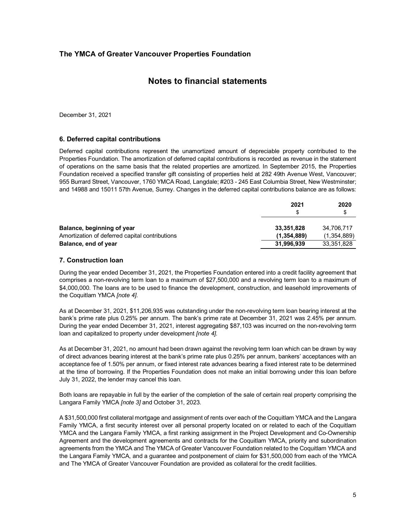## **Notes to financial statements**

December 31, 2021

#### **6. Deferred capital contributions**

Deferred capital contributions represent the unamortized amount of depreciable property contributed to the Properties Foundation. The amortization of deferred capital contributions is recorded as revenue in the statement of operations on the same basis that the related properties are amortized. In September 2015, the Properties Foundation received a specified transfer gift consisting of properties held at 282 49th Avenue West, Vancouver; 955 Burrard Street, Vancouver, 1760 YMCA Road, Langdale; #203 - 245 East Columbia Street, New Westminster; and 14988 and 15011 57th Avenue, Surrey. Changes in the deferred capital contributions balance are as follows:

|                                                                              | 2021<br>S                 | 2020<br>S                 |
|------------------------------------------------------------------------------|---------------------------|---------------------------|
| Balance, beginning of year<br>Amortization of deferred capital contributions | 33,351,828<br>(1,354,889) | 34.706.717<br>(1,354,889) |
| Balance, end of year                                                         | 31,996,939                | 33,351,828                |

#### **7. Construction loan**

During the year ended December 31, 2021, the Properties Foundation entered into a credit facility agreement that comprises a non-revolving term loan to a maximum of \$27,500,000 and a revolving term loan to a maximum of \$4,000,000. The loans are to be used to finance the development, construction, and leasehold improvements of the Coquitlam YMCA *[note 4]*.

As at December 31, 2021, \$11,206,935 was outstanding under the non-revolving term loan bearing interest at the bank's prime rate plus 0.25% per annum. The bank's prime rate at December 31, 2021 was 2.45% per annum. During the year ended December 31, 2021, interest aggregating \$87,103 was incurred on the non-revolving term loan and capitalized to property under development *[note 4]*.

As at December 31, 2021, no amount had been drawn against the revolving term loan which can be drawn by way of direct advances bearing interest at the bank's prime rate plus 0.25% per annum, bankers' acceptances with an acceptance fee of 1.50% per annum, or fixed interest rate advances bearing a fixed interest rate to be determined at the time of borrowing. If the Properties Foundation does not make an initial borrowing under this loan before July 31, 2022, the lender may cancel this loan.

Both loans are repayable in full by the earlier of the completion of the sale of certain real property comprising the Langara Family YMCA *[note 3]* and October 31, 2023.

A \$31,500,000 first collateral mortgage and assignment of rents over each of the Coquitlam YMCA and the Langara Family YMCA, a first security interest over all personal property located on or related to each of the Coquitlam YMCA and the Langara Family YMCA, a first ranking assignment in the Project Development and Co-Ownership Agreement and the development agreements and contracts for the Coquitlam YMCA, priority and subordination agreements from the YMCA and The YMCA of Greater Vancouver Foundation related to the Coquitlam YMCA and the Langara Family YMCA, and a guarantee and postponement of claim for \$31,500,000 from each of the YMCA and The YMCA of Greater Vancouver Foundation are provided as collateral for the credit facilities.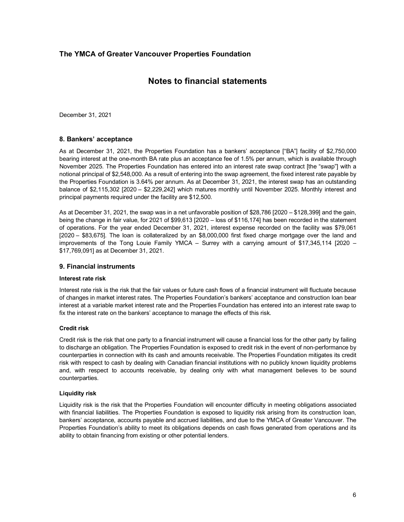## **Notes to financial statements**

December 31, 2021

#### **8. Bankers' acceptance**

As at December 31, 2021, the Properties Foundation has a bankers' acceptance ["BA"] facility of \$2,750,000 bearing interest at the one-month BA rate plus an acceptance fee of 1.5% per annum, which is available through November 2025. The Properties Foundation has entered into an interest rate swap contract [the "swap"] with a notional principal of \$2,548,000. As a result of entering into the swap agreement, the fixed interest rate payable by the Properties Foundation is 3.64% per annum. As at December 31, 2021, the interest swap has an outstanding balance of \$2,115,302 [2020 – \$2,229,242] which matures monthly until November 2025. Monthly interest and principal payments required under the facility are \$12,500.

As at December 31, 2021, the swap was in a net unfavorable position of \$28,786 [2020 – \$128,399] and the gain, being the change in fair value, for 2021 of \$99,613 [2020 – loss of \$116,174] has been recorded in the statement of operations. For the year ended December 31, 2021, interest expense recorded on the facility was \$79,061 [2020 – \$83,675]. The loan is collateralized by an \$8,000,000 first fixed charge mortgage over the land and improvements of the Tong Louie Family YMCA – Surrey with a carrying amount of \$17,345,114 [2020 – \$17,769,091] as at December 31, 2021.

#### **9. Financial instruments**

#### **Interest rate risk**

Interest rate risk is the risk that the fair values or future cash flows of a financial instrument will fluctuate because of changes in market interest rates. The Properties Foundation's bankers' acceptance and construction loan bear interest at a variable market interest rate and the Properties Foundation has entered into an interest rate swap to fix the interest rate on the bankers' acceptance to manage the effects of this risk.

#### **Credit risk**

Credit risk is the risk that one party to a financial instrument will cause a financial loss for the other party by failing to discharge an obligation. The Properties Foundation is exposed to credit risk in the event of non-performance by counterparties in connection with its cash and amounts receivable. The Properties Foundation mitigates its credit risk with respect to cash by dealing with Canadian financial institutions with no publicly known liquidity problems and, with respect to accounts receivable, by dealing only with what management believes to be sound counterparties.

#### **Liquidity risk**

Liquidity risk is the risk that the Properties Foundation will encounter difficulty in meeting obligations associated with financial liabilities. The Properties Foundation is exposed to liquidity risk arising from its construction loan, bankers' acceptance, accounts payable and accrued liabilities, and due to the YMCA of Greater Vancouver. The Properties Foundation's ability to meet its obligations depends on cash flows generated from operations and its ability to obtain financing from existing or other potential lenders.